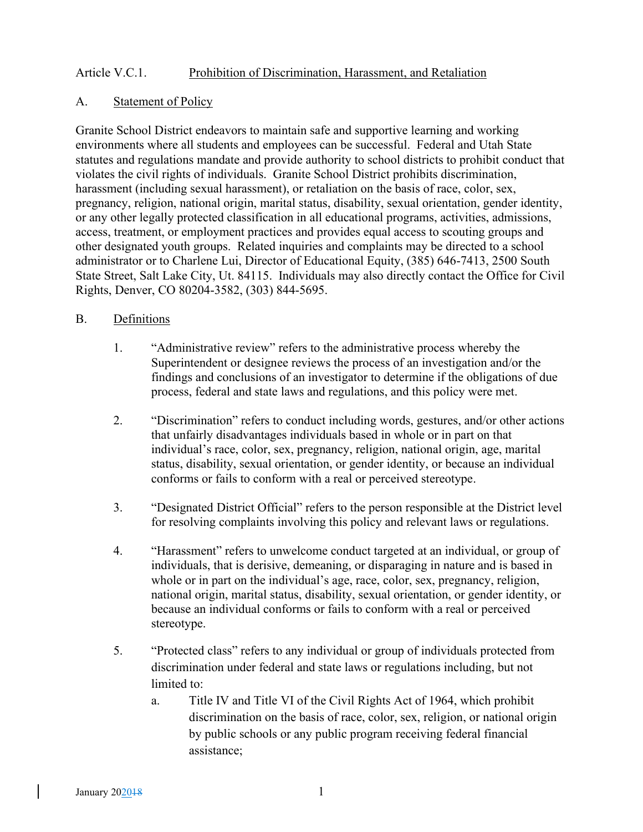## Article V.C.1. Prohibition of Discrimination, Harassment, and Retaliation

### A. Statement of Policy

Granite School District endeavors to maintain safe and supportive learning and working environments where all students and employees can be successful. Federal and Utah State statutes and regulations mandate and provide authority to school districts to prohibit conduct that violates the civil rights of individuals. Granite School District prohibits discrimination, harassment (including sexual harassment), or retaliation on the basis of race, color, sex, pregnancy, religion, national origin, marital status, disability, sexual orientation, gender identity, or any other legally protected classification in all educational programs, activities, admissions, access, treatment, or employment practices and provides equal access to scouting groups and other designated youth groups. Related inquiries and complaints may be directed to a school administrator or to Charlene Lui, Director of Educational Equity, (385) 646-7413, 2500 South State Street, Salt Lake City, Ut. 84115. Individuals may also directly contact the Office for Civil Rights, Denver, CO 80204-3582, (303) 844-5695.

#### B. Definitions

- 1. "Administrative review" refers to the administrative process whereby the Superintendent or designee reviews the process of an investigation and/or the findings and conclusions of an investigator to determine if the obligations of due process, federal and state laws and regulations, and this policy were met.
- 2. "Discrimination" refers to conduct including words, gestures, and/or other actions that unfairly disadvantages individuals based in whole or in part on that individual's race, color, sex, pregnancy, religion, national origin, age, marital status, disability, sexual orientation, or gender identity, or because an individual conforms or fails to conform with a real or perceived stereotype.
- 3. "Designated District Official" refers to the person responsible at the District level for resolving complaints involving this policy and relevant laws or regulations.
- 4. "Harassment" refers to unwelcome conduct targeted at an individual, or group of individuals, that is derisive, demeaning, or disparaging in nature and is based in whole or in part on the individual's age, race, color, sex, pregnancy, religion, national origin, marital status, disability, sexual orientation, or gender identity, or because an individual conforms or fails to conform with a real or perceived stereotype.
- 5. "Protected class" refers to any individual or group of individuals protected from discrimination under federal and state laws or regulations including, but not limited to:
	- a. Title IV and Title VI of the Civil Rights Act of 1964, which prohibit discrimination on the basis of race, color, sex, religion, or national origin by public schools or any public program receiving federal financial assistance;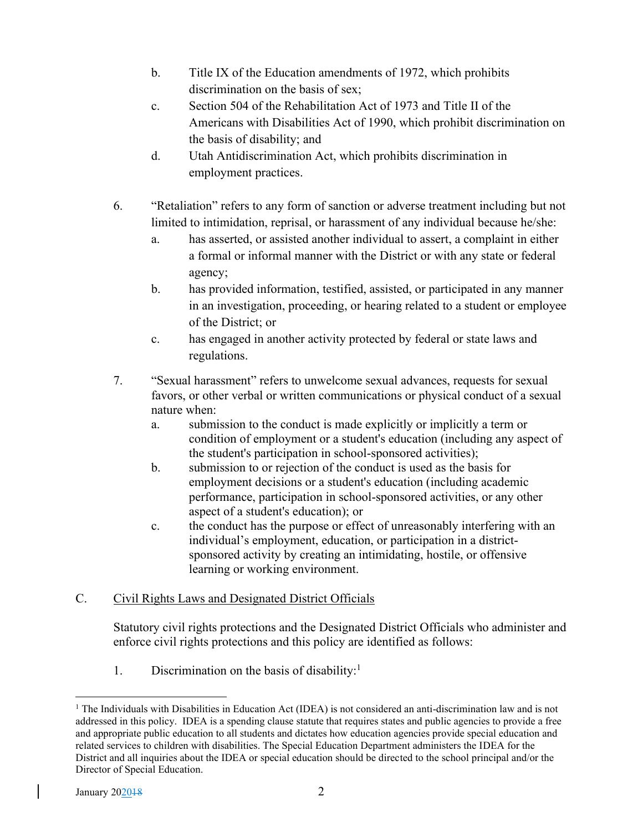- b. Title IX of the Education amendments of 1972, which prohibits discrimination on the basis of sex;
- c. Section 504 of the Rehabilitation Act of 1973 and Title II of the Americans with Disabilities Act of 1990, which prohibit discrimination on the basis of disability; and
- d. Utah Antidiscrimination Act, which prohibits discrimination in employment practices.
- 6. "Retaliation" refers to any form of sanction or adverse treatment including but not limited to intimidation, reprisal, or harassment of any individual because he/she:
	- a. has asserted, or assisted another individual to assert, a complaint in either a formal or informal manner with the District or with any state or federal agency;
	- b. has provided information, testified, assisted, or participated in any manner in an investigation, proceeding, or hearing related to a student or employee of the District; or
	- c. has engaged in another activity protected by federal or state laws and regulations.
- 7. "Sexual harassment" refers to unwelcome sexual advances, requests for sexual favors, or other verbal or written communications or physical conduct of a sexual nature when:
	- a. submission to the conduct is made explicitly or implicitly a term or condition of employment or a student's education (including any aspect of the student's participation in school-sponsored activities);
	- b. submission to or rejection of the conduct is used as the basis for employment decisions or a student's education (including academic performance, participation in school-sponsored activities, or any other aspect of a student's education); or
	- c. the conduct has the purpose or effect of unreasonably interfering with an individual's employment, education, or participation in a districtsponsored activity by creating an intimidating, hostile, or offensive learning or working environment.

# C. Civil Rights Laws and Designated District Officials

Statutory civil rights protections and the Designated District Officials who administer and enforce civil rights protections and this policy are identified as follows:

1. Discrimination on the basis of disability:<sup>1</sup>

<sup>1</sup> The Individuals with Disabilities in Education Act (IDEA) is not considered an anti-discrimination law and is not addressed in this policy. IDEA is a spending clause statute that requires states and public agencies to provide a free and appropriate public education to all students and dictates how education agencies provide special education and related services to children with disabilities. The Special Education Department administers the IDEA for the District and all inquiries about the IDEA or special education should be directed to the school principal and/or the Director of Special Education.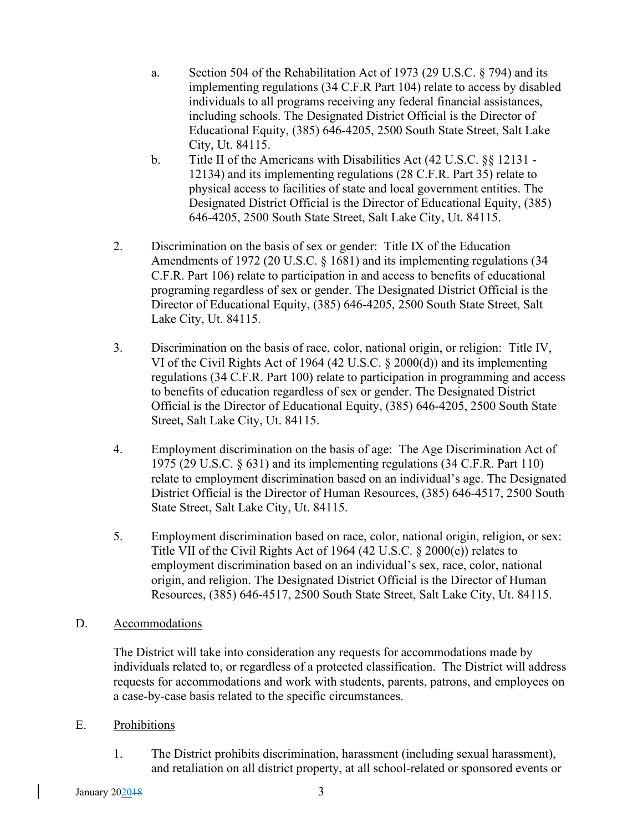- a. Section 504 of the Rehabilitation Act of 1973 (29 U.S.C. § 794) and its implementing regulations (34 C.F.R Part 104) relate to access by disabled individuals to all programs receiving any federal financial assistances, including schools. The Designated District Official is the Director of Educational Equity, (385) 646-4205, 2500 South State Street, Salt Lake City, Ut. 84115.
- b. Title II of the Americans with Disabilities Act (42 U.S.C. §§ 12131 12134) and its implementing regulations (28 C.F.R. Part 35) relate to physical access to facilities of state and local government entities. The Designated District Official is the Director of Educational Equity, (385) 646-4205, 2500 South State Street, Salt Lake City, Ut. 84115.
- 2. Discrimination on the basis of sex or gender: Title IX of the Education Amendments of 1972 (20 U.S.C. § 1681) and its implementing regulations (34 C.F.R. Part 106) relate to participation in and access to benefits of educational programing regardless of sex or gender. The Designated District Official is the Director of Educational Equity, (385) 646-4205, 2500 South State Street, Salt Lake City, Ut. 84115.
- 3. Discrimination on the basis of race, color, national origin, or religion: Title IV, VI of the Civil Rights Act of 1964 (42 U.S.C. § 2000(d)) and its implementing regulations (34 C.F.R. Part 100) relate to participation in programming and access to benefits of education regardless of sex or gender. The Designated District Official is the Director of Educational Equity, (385) 646-4205, 2500 South State Street, Salt Lake City, Ut. 84115.
- 4. Employment discrimination on the basis of age: The Age Discrimination Act of 1975 (29 U.S.C. § 631) and its implementing regulations (34 C.F.R. Part 110) relate to employment discrimination based on an individual's age. The Designated District Official is the Director of Human Resources, (385) 646-4517, 2500 South State Street, Salt Lake City, Ut. 84115.
- 5. Employment discrimination based on race, color, national origin, religion, or sex: Title VII of the Civil Rights Act of 1964 (42 U.S.C. § 2000(e)) relates to employment discrimination based on an individual's sex, race, color, national origin, and religion. The Designated District Official is the Director of Human Resources, (385) 646-4517, 2500 South State Street, Salt Lake City, Ut. 84115.
- D. Accommodations

The District will take into consideration any requests for accommodations made by individuals related to, or regardless of a protected classification. The District will address requests for accommodations and work with students, parents, patrons, and employees on a case-by-case basis related to the specific circumstances.

- E. Prohibitions
	- 1. The District prohibits discrimination, harassment (including sexual harassment), and retaliation on all district property, at all school-related or sponsored events or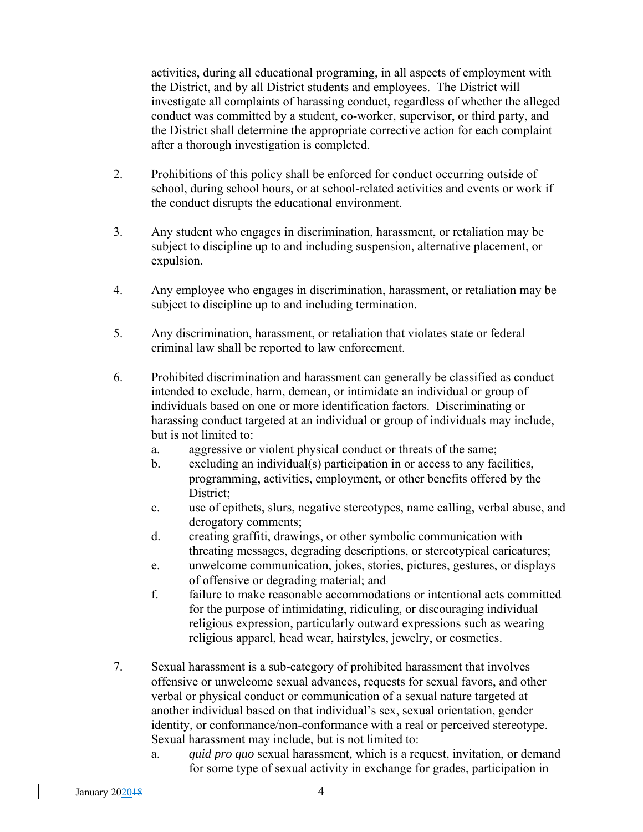activities, during all educational programing, in all aspects of employment with the District, and by all District students and employees. The District will investigate all complaints of harassing conduct, regardless of whether the alleged conduct was committed by a student, co-worker, supervisor, or third party, and the District shall determine the appropriate corrective action for each complaint after a thorough investigation is completed.

- 2. Prohibitions of this policy shall be enforced for conduct occurring outside of school, during school hours, or at school-related activities and events or work if the conduct disrupts the educational environment.
- 3. Any student who engages in discrimination, harassment, or retaliation may be subject to discipline up to and including suspension, alternative placement, or expulsion.
- 4. Any employee who engages in discrimination, harassment, or retaliation may be subject to discipline up to and including termination.
- 5. Any discrimination, harassment, or retaliation that violates state or federal criminal law shall be reported to law enforcement.
- 6. Prohibited discrimination and harassment can generally be classified as conduct intended to exclude, harm, demean, or intimidate an individual or group of individuals based on one or more identification factors. Discriminating or harassing conduct targeted at an individual or group of individuals may include, but is not limited to:
	- a. aggressive or violent physical conduct or threats of the same;
	- b. excluding an individual(s) participation in or access to any facilities, programming, activities, employment, or other benefits offered by the District;
	- c. use of epithets, slurs, negative stereotypes, name calling, verbal abuse, and derogatory comments;
	- d. creating graffiti, drawings, or other symbolic communication with threating messages, degrading descriptions, or stereotypical caricatures;
	- e. unwelcome communication, jokes, stories, pictures, gestures, or displays of offensive or degrading material; and
	- f. failure to make reasonable accommodations or intentional acts committed for the purpose of intimidating, ridiculing, or discouraging individual religious expression, particularly outward expressions such as wearing religious apparel, head wear, hairstyles, jewelry, or cosmetics.
- 7. Sexual harassment is a sub-category of prohibited harassment that involves offensive or unwelcome sexual advances, requests for sexual favors, and other verbal or physical conduct or communication of a sexual nature targeted at another individual based on that individual's sex, sexual orientation, gender identity, or conformance/non-conformance with a real or perceived stereotype. Sexual harassment may include, but is not limited to:
	- a. *quid pro quo* sexual harassment*,* which is a request, invitation, or demand for some type of sexual activity in exchange for grades, participation in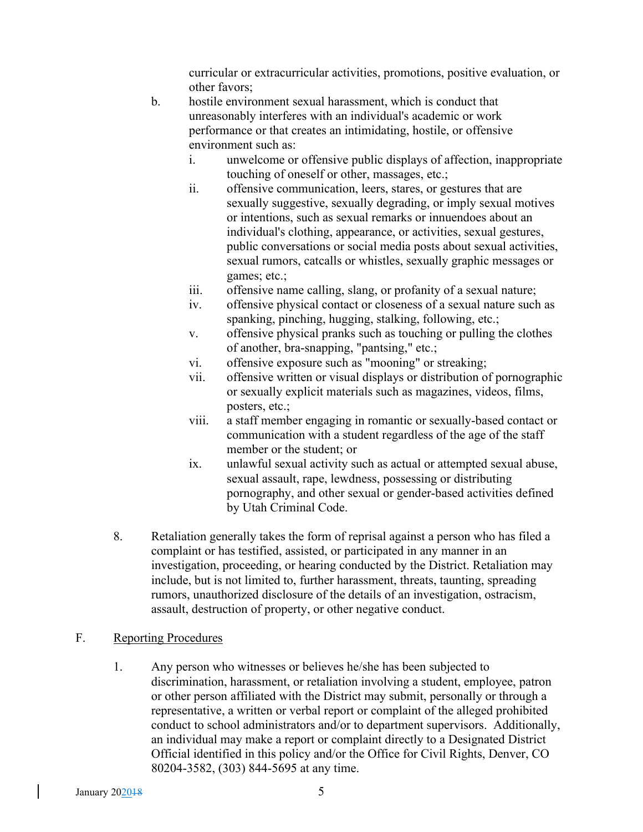curricular or extracurricular activities, promotions, positive evaluation, or other favors;

- b. hostile environment sexual harassment, which is conduct that unreasonably interferes with an individual's academic or work performance or that creates an intimidating, hostile, or offensive environment such as:
	- i. unwelcome or offensive public displays of affection, inappropriate touching of oneself or other, massages, etc.;
	- ii. offensive communication, leers, stares, or gestures that are sexually suggestive, sexually degrading, or imply sexual motives or intentions, such as sexual remarks or innuendoes about an individual's clothing, appearance, or activities, sexual gestures, public conversations or social media posts about sexual activities, sexual rumors, catcalls or whistles, sexually graphic messages or games; etc.;
	- iii. offensive name calling, slang, or profanity of a sexual nature;
	- iv. offensive physical contact or closeness of a sexual nature such as spanking, pinching, hugging, stalking, following, etc.;
	- v. offensive physical pranks such as touching or pulling the clothes of another, bra-snapping, "pantsing," etc.;
	- vi. offensive exposure such as "mooning" or streaking;
	- vii. offensive written or visual displays or distribution of pornographic or sexually explicit materials such as magazines, videos, films, posters, etc.;
	- viii. a staff member engaging in romantic or sexually-based contact or communication with a student regardless of the age of the staff member or the student; or
	- ix. unlawful sexual activity such as actual or attempted sexual abuse, sexual assault, rape, lewdness, possessing or distributing pornography, and other sexual or gender-based activities defined by Utah Criminal Code.
- 8. Retaliation generally takes the form of reprisal against a person who has filed a complaint or has testified, assisted, or participated in any manner in an investigation, proceeding, or hearing conducted by the District. Retaliation may include, but is not limited to, further harassment, threats, taunting, spreading rumors, unauthorized disclosure of the details of an investigation, ostracism, assault, destruction of property, or other negative conduct.

### F. Reporting Procedures

1. Any person who witnesses or believes he/she has been subjected to discrimination, harassment, or retaliation involving a student, employee, patron or other person affiliated with the District may submit, personally or through a representative, a written or verbal report or complaint of the alleged prohibited conduct to school administrators and/or to department supervisors. Additionally, an individual may make a report or complaint directly to a Designated District Official identified in this policy and/or the Office for Civil Rights, Denver, CO 80204-3582, (303) 844-5695 at any time.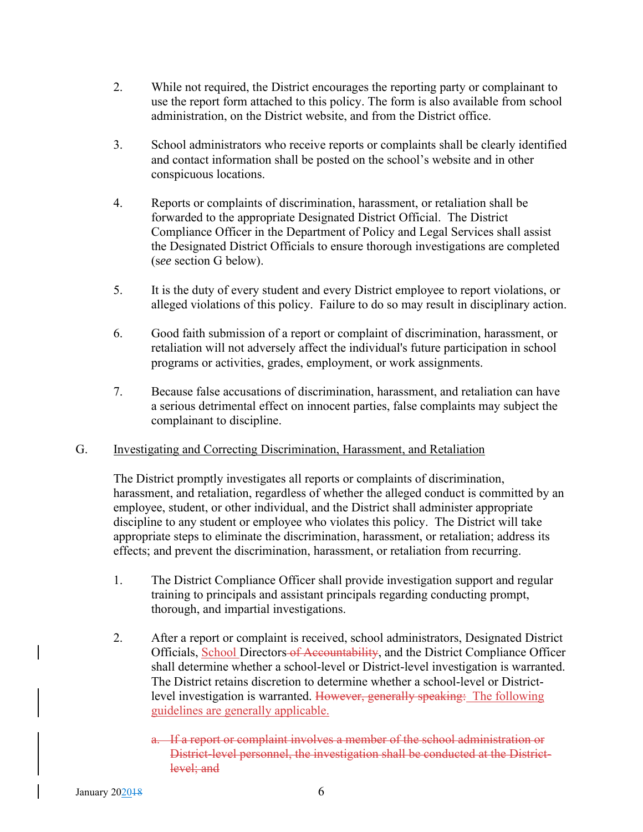- 2. While not required, the District encourages the reporting party or complainant to use the report form attached to this policy. The form is also available from school administration, on the District website, and from the District office.
- 3. School administrators who receive reports or complaints shall be clearly identified and contact information shall be posted on the school's website and in other conspicuous locations.
- 4. Reports or complaints of discrimination, harassment, or retaliation shall be forwarded to the appropriate Designated District Official. The District Compliance Officer in the Department of Policy and Legal Services shall assist the Designated District Officials to ensure thorough investigations are completed (s*ee* section G below).
- 5. It is the duty of every student and every District employee to report violations, or alleged violations of this policy. Failure to do so may result in disciplinary action.
- 6. Good faith submission of a report or complaint of discrimination, harassment, or retaliation will not adversely affect the individual's future participation in school programs or activities, grades, employment, or work assignments.
- 7. Because false accusations of discrimination, harassment, and retaliation can have a serious detrimental effect on innocent parties, false complaints may subject the complainant to discipline.

### G. Investigating and Correcting Discrimination, Harassment, and Retaliation

The District promptly investigates all reports or complaints of discrimination, harassment, and retaliation, regardless of whether the alleged conduct is committed by an employee, student, or other individual, and the District shall administer appropriate discipline to any student or employee who violates this policy. The District will take appropriate steps to eliminate the discrimination, harassment, or retaliation; address its effects; and prevent the discrimination, harassment, or retaliation from recurring.

- 1. The District Compliance Officer shall provide investigation support and regular training to principals and assistant principals regarding conducting prompt, thorough, and impartial investigations.
- 2. After a report or complaint is received, school administrators, Designated District Officials, School Directors of Accountability, and the District Compliance Officer shall determine whether a school-level or District-level investigation is warranted. The District retains discretion to determine whether a school-level or Districtlevel investigation is warranted. However, generally speaking: The following guidelines are generally applicable.
	- a. If a report or complaint involves a member of the school administration or District-level personnel, the investigation shall be conducted at the Districtlevel; and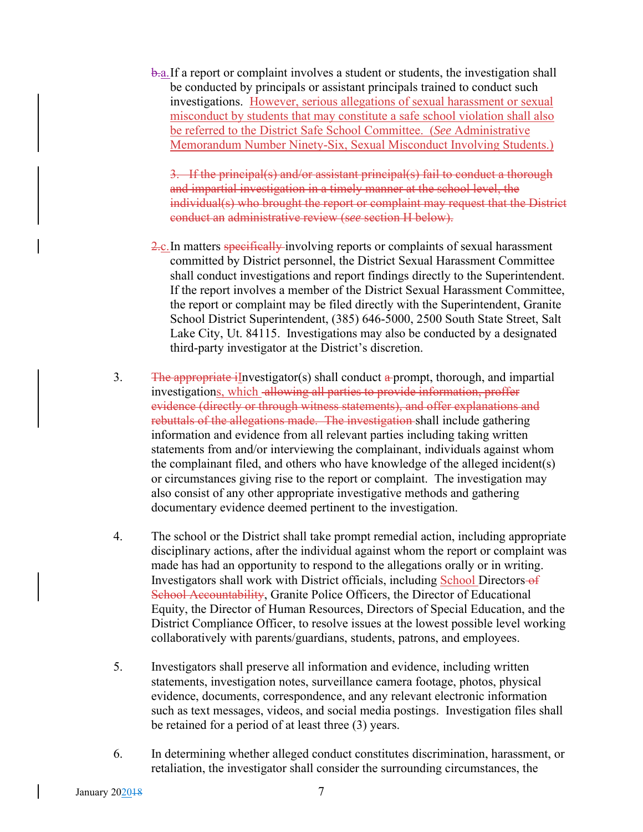b.a.If a report or complaint involves a student or students, the investigation shall be conducted by principals or assistant principals trained to conduct such investigations. However, serious allegations of sexual harassment or sexual misconduct by students that may constitute a safe school violation shall also be referred to the District Safe School Committee. (*See* Administrative Memorandum Number Ninety-Six, Sexual Misconduct Involving Students.)

3. If the principal(s) and/or assistant principal(s) fail to conduct a thorough and impartial investigation in a timely manner at the school level, the individual(s) who brought the report or complaint may request that the District conduct an administrative review (s*ee* section H below).

- 2.c.In matters specifically involving reports or complaints of sexual harassment committed by District personnel, the District Sexual Harassment Committee shall conduct investigations and report findings directly to the Superintendent. If the report involves a member of the District Sexual Harassment Committee, the report or complaint may be filed directly with the Superintendent, Granite School District Superintendent, (385) 646-5000, 2500 South State Street, Salt Lake City, Ut. 84115. Investigations may also be conducted by a designated third-party investigator at the District's discretion.
- 3. The appropriate iInvestigator(s) shall conduct a prompt, thorough, and impartial investigations, which allowing all parties to provide information, proffer evidence (directly or through witness statements), and offer explanations and rebuttals of the allegations made. The investigation shall include gathering information and evidence from all relevant parties including taking written statements from and/or interviewing the complainant, individuals against whom the complainant filed, and others who have knowledge of the alleged incident(s) or circumstances giving rise to the report or complaint. The investigation may also consist of any other appropriate investigative methods and gathering documentary evidence deemed pertinent to the investigation.
- 4. The school or the District shall take prompt remedial action, including appropriate disciplinary actions, after the individual against whom the report or complaint was made has had an opportunity to respond to the allegations orally or in writing. Investigators shall work with District officials, including School Directors of School Accountability, Granite Police Officers, the Director of Educational Equity, the Director of Human Resources, Directors of Special Education, and the District Compliance Officer, to resolve issues at the lowest possible level working collaboratively with parents/guardians, students, patrons, and employees.
- 5. Investigators shall preserve all information and evidence, including written statements, investigation notes, surveillance camera footage, photos, physical evidence, documents, correspondence, and any relevant electronic information such as text messages, videos, and social media postings. Investigation files shall be retained for a period of at least three (3) years.
- 6. In determining whether alleged conduct constitutes discrimination, harassment, or retaliation, the investigator shall consider the surrounding circumstances, the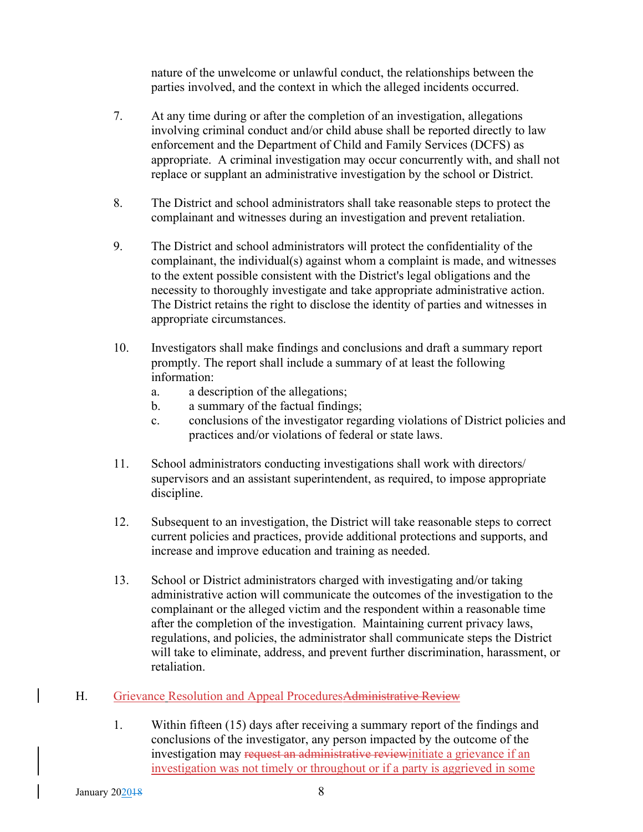nature of the unwelcome or unlawful conduct, the relationships between the parties involved, and the context in which the alleged incidents occurred.

- 7. At any time during or after the completion of an investigation, allegations involving criminal conduct and/or child abuse shall be reported directly to law enforcement and the Department of Child and Family Services (DCFS) as appropriate. A criminal investigation may occur concurrently with, and shall not replace or supplant an administrative investigation by the school or District.
- 8. The District and school administrators shall take reasonable steps to protect the complainant and witnesses during an investigation and prevent retaliation.
- 9. The District and school administrators will protect the confidentiality of the complainant, the individual(s) against whom a complaint is made, and witnesses to the extent possible consistent with the District's legal obligations and the necessity to thoroughly investigate and take appropriate administrative action. The District retains the right to disclose the identity of parties and witnesses in appropriate circumstances.
- 10. Investigators shall make findings and conclusions and draft a summary report promptly. The report shall include a summary of at least the following information:
	- a. a description of the allegations;
	- b. a summary of the factual findings;
	- c. conclusions of the investigator regarding violations of District policies and practices and/or violations of federal or state laws.
- 11. School administrators conducting investigations shall work with directors/ supervisors and an assistant superintendent, as required, to impose appropriate discipline.
- 12. Subsequent to an investigation, the District will take reasonable steps to correct current policies and practices, provide additional protections and supports, and increase and improve education and training as needed.
- 13. School or District administrators charged with investigating and/or taking administrative action will communicate the outcomes of the investigation to the complainant or the alleged victim and the respondent within a reasonable time after the completion of the investigation. Maintaining current privacy laws, regulations, and policies, the administrator shall communicate steps the District will take to eliminate, address, and prevent further discrimination, harassment, or retaliation.
- H. Grievance Resolution and Appeal ProceduresAdministrative Review
	- 1. Within fifteen (15) days after receiving a summary report of the findings and conclusions of the investigator, any person impacted by the outcome of the investigation may request an administrative reviewinitiate a grievance if an investigation was not timely or throughout or if a party is aggrieved in some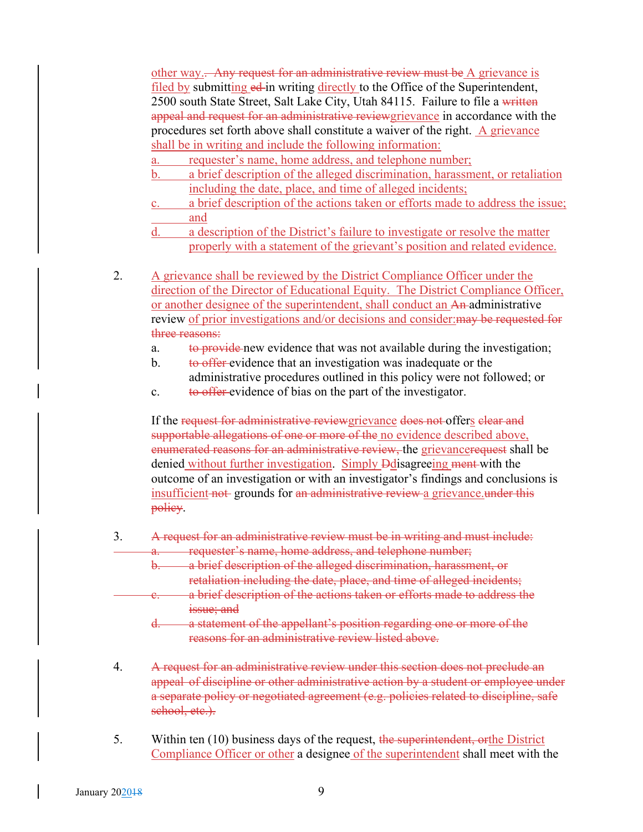other way. Any request for an administrative review must be A grievance is filed by submitting ed in writing directly to the Office of the Superintendent, 2500 south State Street, Salt Lake City, Utah 84115. Failure to file a written appeal and request for an administrative reviewgrievance in accordance with the procedures set forth above shall constitute a waiver of the right.  $\overline{A}$  grievance shall be in writing and include the following information:

- a. requester's name, home address, and telephone number;
- b. a brief description of the alleged discrimination, harassment, or retaliation including the date, place, and time of alleged incidents;
- c. a brief description of the actions taken or efforts made to address the issue; and
- d. a description of the District's failure to investigate or resolve the matter properly with a statement of the grievant's position and related evidence.
- 2. A grievance shall be reviewed by the District Compliance Officer under the direction of the Director of Educational Equity. The District Compliance Officer, or another designee of the superintendent, shall conduct an An administrative review of prior investigations and/or decisions and consider:may be requested for three reasons:
	- a. to provide new evidence that was not available during the investigation;
	- b. to offer evidence that an investigation was inadequate or the administrative procedures outlined in this policy were not followed; or
	- c. to offer-evidence of bias on the part of the investigator.

If the request for administrative reviewgrievance does not offers elear and supportable allegations of one or more of the no evidence described above, enumerated reasons for an administrative review, the grievancerequest shall be denied without further investigation. Simply Ddisagreeing ment with the outcome of an investigation or with an investigator's findings and conclusions is insufficient not grounds for an administrative review a grievance. under this policy.

- 3. A request for an administrative review must be in writing and must include: requester's name, home address, and telephone number;
	- a brief description of the alleged discrimination, harassment, or retaliation including the date, place, and time of alleged incidents;
	- a brief description of the actions taken or efforts made to address the issue; and
		- d. a statement of the appellant's position regarding one or more of the reasons for an administrative review listed above.
- 4. A request for an administrative review under this section does not preclude an appeal of discipline or other administrative action by a student or employee under a separate policy or negotiated agreement (e.g. policies related to discipline, safe school, etc.).
- 5. Within ten (10) business days of the request, the superintendent, orthe District Compliance Officer or other a designee of the superintendent shall meet with the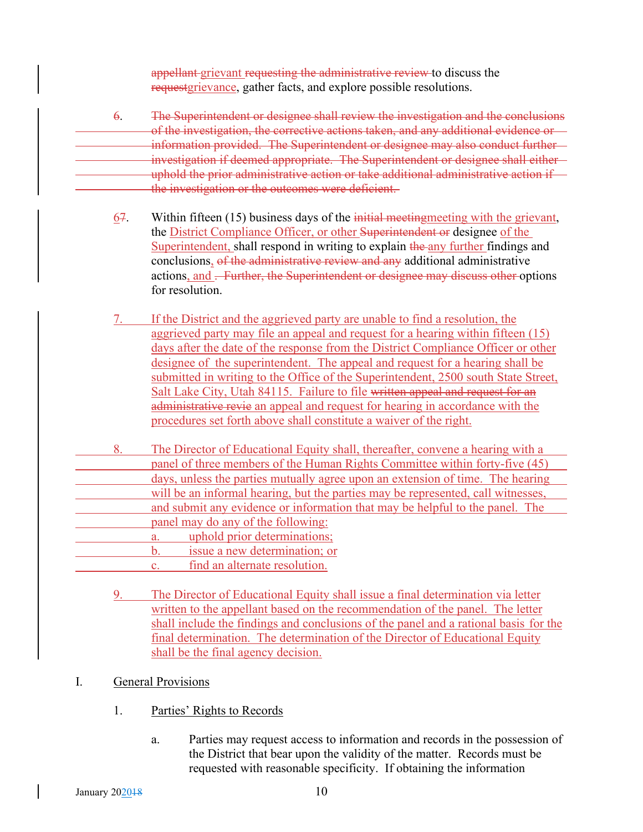appellant grievant requesting the administrative review to discuss the requestgrievance, gather facts, and explore possible resolutions.

- 6. The Superintendent or designee shall review the investigation and the conclusions of the investigation, the corrective actions taken, and any additional evidence or information provided. The Superintendent or designee may also conduct further investigation if deemed appropriate. The Superintendent or designee shall either uphold the prior administrative action or take additional administrative action if the investigation or the outcomes were deficient.
	- 67. Within fifteen  $(15)$  business days of the *initial meetingmeeting with the grievant*, the District Compliance Officer, or other Superintendent or designee of the Superintendent, shall respond in writing to explain the any further findings and conclusions, of the administrative review and any additional administrative actions, and . Further, the Superintendent or designee may discuss other options for resolution.
	- 7. If the District and the aggrieved party are unable to find a resolution, the aggrieved party may file an appeal and request for a hearing within fifteen (15) days after the date of the response from the District Compliance Officer or other designee of the superintendent. The appeal and request for a hearing shall be submitted in writing to the Office of the Superintendent, 2500 south State Street, Salt Lake City, Utah 84115. Failure to file written appeal and request for an administrative revie an appeal and request for hearing in accordance with the procedures set forth above shall constitute a waiver of the right.
- 8. The Director of Educational Equity shall, thereafter, convene a hearing with a panel of three members of the Human Rights Committee within forty-five (45) days, unless the parties mutually agree upon an extension of time. The hearing will be an informal hearing, but the parties may be represented, call witnesses, and submit any evidence or information that may be helpful to the panel. The panel may do any of the following: a. uphold prior determinations;
	- b. issue a new determination; or
	- c. find an alternate resolution.
		- 9. The Director of Educational Equity shall issue a final determination via letter written to the appellant based on the recommendation of the panel. The letter shall include the findings and conclusions of the panel and a rational basis for the final determination. The determination of the Director of Educational Equity shall be the final agency decision.
- I. General Provisions
	- 1. Parties' Rights to Records
		- a. Parties may request access to information and records in the possession of the District that bear upon the validity of the matter. Records must be requested with reasonable specificity. If obtaining the information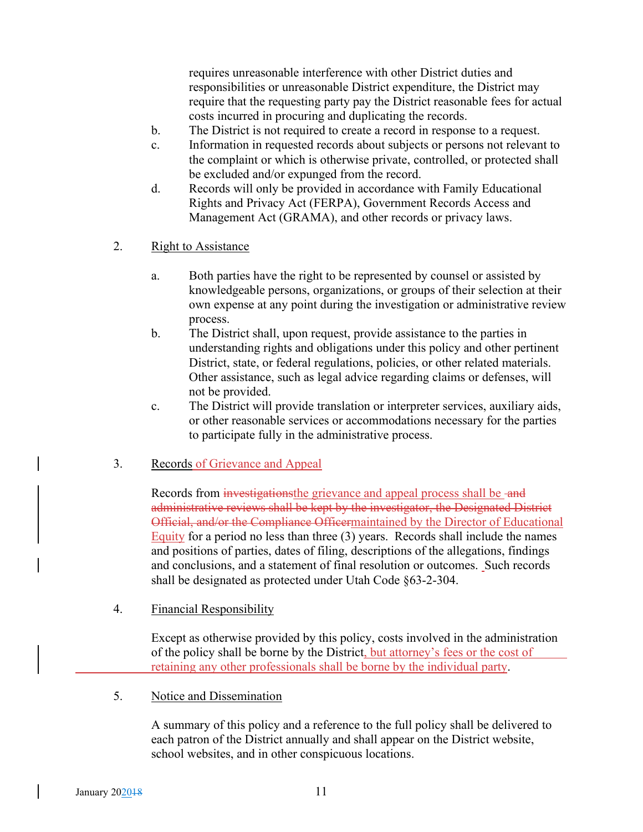requires unreasonable interference with other District duties and responsibilities or unreasonable District expenditure, the District may require that the requesting party pay the District reasonable fees for actual costs incurred in procuring and duplicating the records.

- b. The District is not required to create a record in response to a request.
- c. Information in requested records about subjects or persons not relevant to the complaint or which is otherwise private, controlled, or protected shall be excluded and/or expunged from the record.
- d. Records will only be provided in accordance with Family Educational Rights and Privacy Act (FERPA), Government Records Access and Management Act (GRAMA), and other records or privacy laws.
- 2. Right to Assistance
	- a. Both parties have the right to be represented by counsel or assisted by knowledgeable persons, organizations, or groups of their selection at their own expense at any point during the investigation or administrative review process.
	- b. The District shall, upon request, provide assistance to the parties in understanding rights and obligations under this policy and other pertinent District, state, or federal regulations, policies, or other related materials. Other assistance, such as legal advice regarding claims or defenses, will not be provided.
	- c. The District will provide translation or interpreter services, auxiliary aids, or other reasonable services or accommodations necessary for the parties to participate fully in the administrative process.
- 3. Records of Grievance and Appeal

Records from *investigationsthe grievance and appeal process shall be -and* administrative reviews shall be kept by the investigator, the Designated District Official, and/or the Compliance Officermaintained by the Director of Educational Equity for a period no less than three (3) years. Records shall include the names and positions of parties, dates of filing, descriptions of the allegations, findings and conclusions, and a statement of final resolution or outcomes. Such records shall be designated as protected under Utah Code §63-2-304.

4. Financial Responsibility

Except as otherwise provided by this policy, costs involved in the administration of the policy shall be borne by the District, but attorney's fees or the cost of retaining any other professionals shall be borne by the individual party.

5. Notice and Dissemination

A summary of this policy and a reference to the full policy shall be delivered to each patron of the District annually and shall appear on the District website, school websites, and in other conspicuous locations.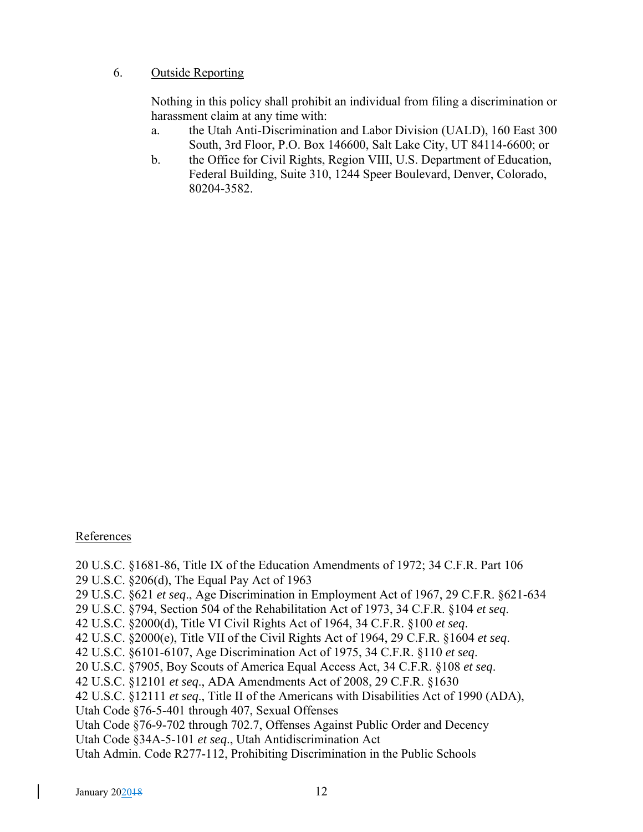## 6. Outside Reporting

Nothing in this policy shall prohibit an individual from filing a discrimination or harassment claim at any time with:

- a. the Utah Anti-Discrimination and Labor Division (UALD), 160 East 300 South, 3rd Floor, P.O. Box 146600, Salt Lake City, UT 84114-6600; or
- b. the Office for Civil Rights, Region VIII, U.S. Department of Education, Federal Building, Suite 310, 1244 Speer Boulevard, Denver, Colorado, 80204-3582.

### References

20 U.S.C. §1681-86, Title IX of the Education Amendments of 1972; 34 C.F.R. Part 106 29 U.S.C. §206(d), The Equal Pay Act of 1963 29 U.S.C. §621 *et seq*., Age Discrimination in Employment Act of 1967, 29 C.F.R. §621-634 29 U.S.C. §794, Section 504 of the Rehabilitation Act of 1973, 34 C.F.R. §104 *et seq*. 42 U.S.C. §2000(d), Title VI Civil Rights Act of 1964, 34 C.F.R. §100 *et seq*. 42 U.S.C. §2000(e), Title VII of the Civil Rights Act of 1964, 29 C.F.R. §1604 *et seq*. 42 U.S.C. §6101-6107, Age Discrimination Act of 1975, 34 C.F.R. §110 *et seq*. 20 U.S.C. §7905, Boy Scouts of America Equal Access Act, 34 C.F.R. §108 *et seq*. 42 U.S.C. §12101 *et seq*., ADA Amendments Act of 2008, 29 C.F.R. §1630 42 U.S.C. §12111 *et seq*., Title II of the Americans with Disabilities Act of 1990 (ADA), Utah Code §76-5-401 through 407, Sexual Offenses Utah Code §76-9-702 through 702.7, Offenses Against Public Order and Decency Utah Code §34A-5-101 *et seq*., Utah Antidiscrimination Act Utah Admin. Code R277-112, Prohibiting Discrimination in the Public Schools